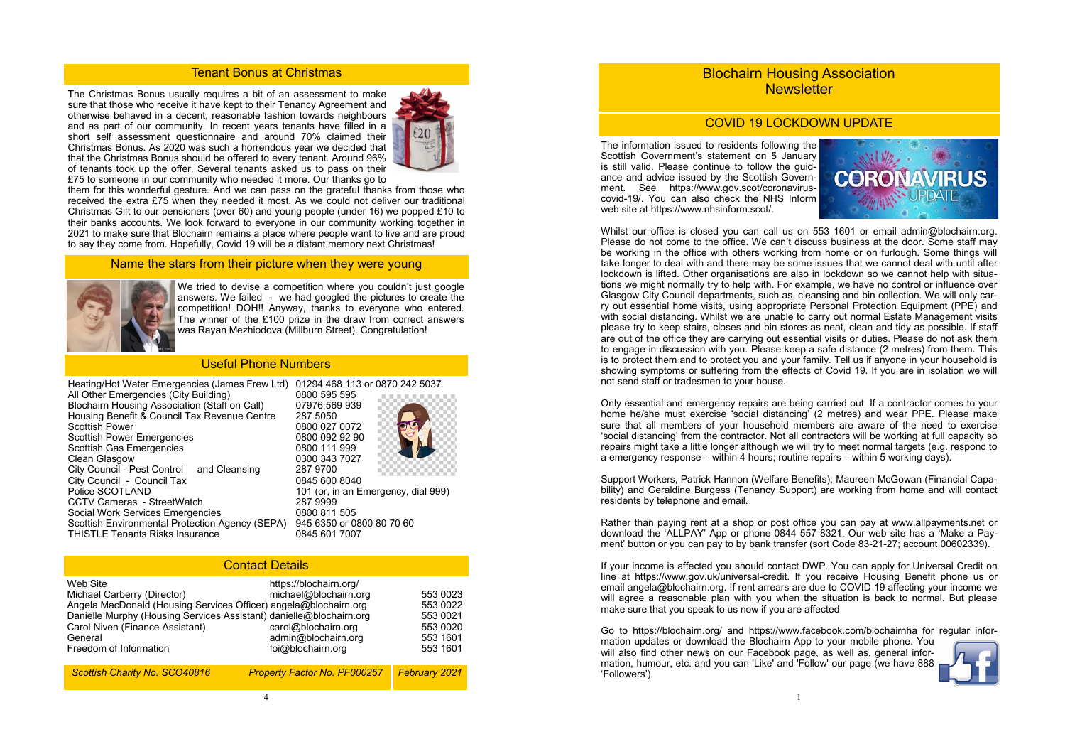The Christmas Bonus usually requires a bit of an assessment to make sure that those who receive it have kept to their Tenancy Agreement and otherwise behaved in a decent, reasonable fashion towards neighbours and as part of our community. In recent years tenants have filled in a short self assessment questionnaire and around 70% claimed their Christmas Bonus. As 2020 was such a horrendous year we decided that that the Christmas Bonus should be offered to every tenant. Around 96% of tenants took up the offer. Several tenants asked us to pass on their £75 to someone in our community who needed it more. Our thanks go to



them for this wonderful gesture. And we can pass on the grateful thanks from those who received the extra £75 when they needed it most. As we could not deliver our traditional Christmas Gift to our pensioners (over 60) and young people (under 16) we popped £10 to their banks accounts. We look forward to everyone in our community working together in 2021 to make sure that Blochairn remains a place where people want to live and are proud to say they come from. Hopefully, Covid 19 will be a distant memory next Christmas!

#### Tenant Bonus at Christmas

#### Name the stars from their picture when they were young



# Blochairn Housing Association **Newsletter**

| Heating/Hot Water Emergencies (James Frew Ltd)         | 01294 468 113 or 0870 242 5037      |  |  |  |
|--------------------------------------------------------|-------------------------------------|--|--|--|
| All Other Emergencies (City Building)                  | 0800 595 595                        |  |  |  |
| <b>Blochairn Housing Association (Staff on Call)</b>   | 07976 569 939                       |  |  |  |
|                                                        |                                     |  |  |  |
| Housing Benefit & Council Tax Revenue Centre           | 287 5050                            |  |  |  |
| <b>Scottish Power</b>                                  | 0800 027 0072                       |  |  |  |
| <b>Scottish Power Emergencies</b>                      | 0800 092 92 90                      |  |  |  |
| <b>Scottish Gas Emergencies</b>                        | 0800 111 999                        |  |  |  |
| <b>Clean Glasgow</b>                                   | 0300 343 7027                       |  |  |  |
| City Council - Pest Control and Cleansing              | 287 9700                            |  |  |  |
| City Council - Council Tax                             | 0845 600 8040                       |  |  |  |
| Police SCOTLAND                                        | 101 (or, in an Emergency, dial 999) |  |  |  |
| <b>CCTV Cameras - StreetWatch</b>                      | 287 9999                            |  |  |  |
| Social Work Services Emergencies                       | 0800 811 505                        |  |  |  |
| <b>Scottish Environmental Protection Agency (SEPA)</b> | 945 6350 or 0800 80 70 60           |  |  |  |
| <b>THISTLE Tenants Risks Insurance</b>                 | 0845 601 7007                       |  |  |  |

### Useful Phone Numbers

| <b>Contact Details</b>                                                                                                                                                                                                                                     |                                                                                                                    |                                                                      |  |  |  |
|------------------------------------------------------------------------------------------------------------------------------------------------------------------------------------------------------------------------------------------------------------|--------------------------------------------------------------------------------------------------------------------|----------------------------------------------------------------------|--|--|--|
| Web Site<br>Michael Carberry (Director)<br>Angela MacDonald (Housing Services Officer) angela@blochairn.org<br>Danielle Murphy (Housing Services Assistant) danielle@blochairn.org<br>Carol Niven (Finance Assistant)<br>General<br>Freedom of Information | https://blochairn.org/<br>michael@blochairn.org<br>carol@blochairn.org<br>admin@blochairn.org<br>foi@blochairn.org | 553 0023<br>553 0022<br>553 0021<br>553 0020<br>553 1601<br>553 1601 |  |  |  |
| Scottish Charity No. SCO40816                                                                                                                                                                                                                              | <b>Property Factor No. PF000257</b>                                                                                | <b>February 2021</b>                                                 |  |  |  |

Whilst our office is closed you can call us on 553 1601 or email admin@blochairn.org. Please do not come to the office. We can't discuss business at the door. Some staff may be working in the office with others working from home or on furlough. Some things will take longer to deal with and there may be some issues that we cannot deal with until after lockdown is lifted. Other organisations are also in lockdown so we cannot help with situations we might normally try to help with. For example, we have no control or influence over Glasgow City Council departments, such as, cleansing and bin collection. We will only carry out essential home visits, using appropriate Personal Protection Equipment (PPE) and with social distancing. Whilst we are unable to carry out normal Estate Management visits please try to keep stairs, closes and bin stores as neat, clean and tidy as possible. If staff are out of the office they are carrying out essential visits or duties. Please do not ask them to engage in discussion with you. Please keep a safe distance (2 metres) from them. This is to protect them and to protect you and your family. Tell us if anyone in your household is showing symptoms or suffering from the effects of Covid 19. If you are in isolation we will not send staff or tradesmen to your house.

We tried to devise a competition where you couldn't just google answers. We failed - we had googled the pictures to create the competition! DOH!! Anyway, thanks to everyone who entered. The winner of the £100 prize in the draw from correct answers was Rayan Mezhiodova (Millburn Street). Congratulation!







### COVID 19 LOCKDOWN UPDATE

The information issued to residents following the Scottish Government's statement on 5 January is still valid. Please continue to follow the guidance and advice issued by the Scottish Government. See https://www.gov.scot/coronaviruscovid-19/. You can also check the NHS Inform web site at https://www.nhsinform.scot/.

Only essential and emergency repairs are being carried out. If a contractor comes to your home he/she must exercise 'social distancing' (2 metres) and wear PPE. Please make sure that all members of your household members are aware of the need to exercise 'social distancing' from the contractor. Not all contractors will be working at full capacity so repairs might take a little longer although we will try to meet normal targets (e.g. respond to a emergency response – within 4 hours; routine repairs – within 5 working days).

Support Workers, Patrick Hannon (Welfare Benefits); Maureen McGowan (Financial Capability) and Geraldine Burgess (Tenancy Support) are working from home and will contact residents by telephone and email.

Rather than paying rent at a shop or post office you can pay at www.allpayments.net or download the 'ALLPAY' App or phone 0844 557 8321. Our web site has a 'Make a Payment' button or you can pay to by bank transfer (sort Code 83-21-27; account 00602339).

If your income is affected you should contact DWP. You can apply for Universal Credit on line at https://www.gov.uk/universal-credit. If you receive Housing Benefit phone us or email angela@blochairn.org. If rent arrears are due to COVID 19 affecting your income we will agree a reasonable plan with you when the situation is back to normal. But please make sure that you speak to us now if you are affected

Go to https://blochairn.org/ and https://www.facebook.com/blochairnha for regular information updates or download the Blochairn App to your mobile phone. You will also find other news on our Facebook page, as well as, general information, humour, etc. and you can 'Like' and 'Follow' our page (we have 888 'Followers').